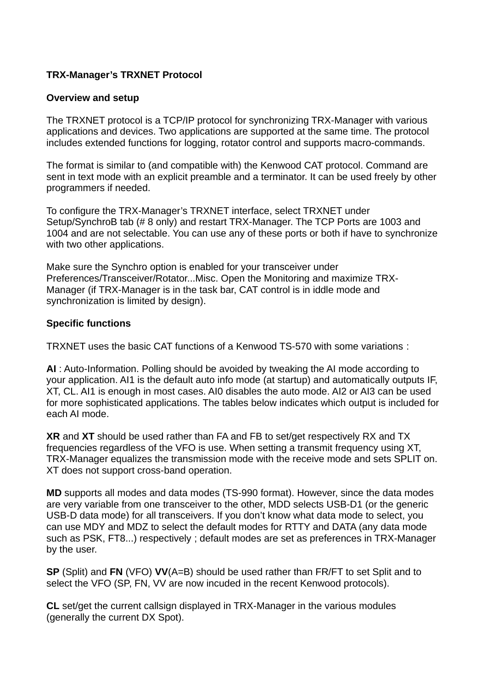## **TRX-Manager's TRXNET Protocol**

## **Overview and setup**

The TRXNET protocol is a TCP/IP protocol for synchronizing TRX-Manager with various applications and devices. Two applications are supported at the same time. The protocol includes extended functions for logging, rotator control and supports macro-commands.

The format is similar to (and compatible with) the Kenwood CAT protocol. Command are sent in text mode with an explicit preamble and a terminator. It can be used freely by other programmers if needed.

To configure the TRX-Manager's TRXNET interface, select TRXNET under Setup/SynchroB tab (# 8 only) and restart TRX-Manager. The TCP Ports are 1003 and 1004 and are not selectable. You can use any of these ports or both if have to synchronize with two other applications.

Make sure the Synchro option is enabled for your transceiver under Preferences/Transceiver/Rotator...Misc. Open the Monitoring and maximize TRX-Manager (if TRX-Manager is in the task bar, CAT control is in iddle mode and synchronization is limited by design).

## **Specific functions**

TRXNET uses the basic CAT functions of a Kenwood TS-570 with some variations :

**AI** : Auto-Information. Polling should be avoided by tweaking the AI mode according to your application. AI1 is the default auto info mode (at startup) and automatically outputs IF, XT, CL. AI1 is enough in most cases. AI0 disables the auto mode. AI2 or AI3 can be used for more sophisticated applications. The tables below indicates which output is included for each AI mode.

**XR** and **XT** should be used rather than FA and FB to set/get respectively RX and TX frequencies regardless of the VFO is use. When setting a transmit frequency using XT, TRX-Manager equalizes the transmission mode with the receive mode and sets SPLIT on. XT does not support cross-band operation.

**MD** supports all modes and data modes (TS-990 format). However, since the data modes are very variable from one transceiver to the other, MDD selects USB-D1 (or the generic USB-D data mode) for all transceivers. If you don't know what data mode to select, you can use MDY and MDZ to select the default modes for RTTY and DATA (any data mode such as PSK, FT8...) respectively ; default modes are set as preferences in TRX-Manager by the user.

**SP** (Split) and **FN** (VFO) **VV**(A=B) should be used rather than FR/FT to set Split and to select the VFO (SP, FN, VV are now incuded in the recent Kenwood protocols).

**CL** set/get the current callsign displayed in TRX-Manager in the various modules (generally the current DX Spot).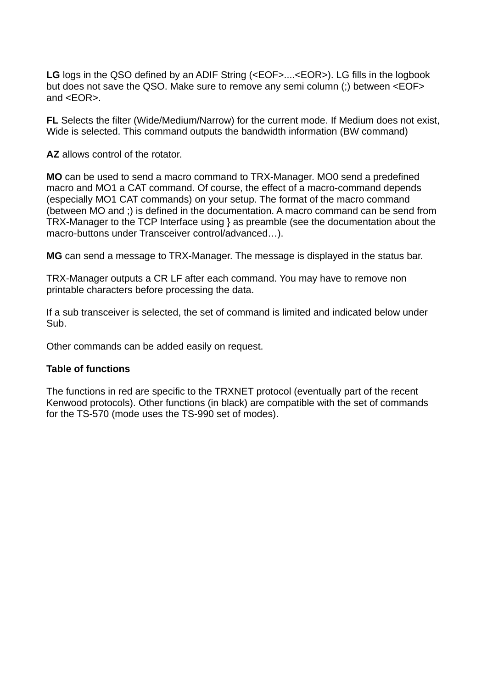LG logs in the OSO defined by an ADIF String (<EOF>....<EOR>). LG fills in the logbook but does not save the QSO. Make sure to remove any semi column (;) between <EOF> and <EOR>.

**FL** Selects the filter (Wide/Medium/Narrow) for the current mode. If Medium does not exist, Wide is selected. This command outputs the bandwidth information (BW command)

**AZ** allows control of the rotator.

**MO** can be used to send a macro command to TRX-Manager. MO0 send a predefined macro and MO1 a CAT command. Of course, the effect of a macro-command depends (especially MO1 CAT commands) on your setup. The format of the macro command (between MO and ;) is defined in the documentation. A macro command can be send from TRX-Manager to the TCP Interface using } as preamble (see the documentation about the macro-buttons under Transceiver control/advanced…).

**MG** can send a message to TRX-Manager. The message is displayed in the status bar.

TRX-Manager outputs a CR LF after each command. You may have to remove non printable characters before processing the data.

If a sub transceiver is selected, the set of command is limited and indicated below under Sub.

Other commands can be added easily on request.

## **Table of functions**

The functions in red are specific to the TRXNET protocol (eventually part of the recent Kenwood protocols). Other functions (in black) are compatible with the set of commands for the TS-570 (mode uses the TS-990 set of modes).